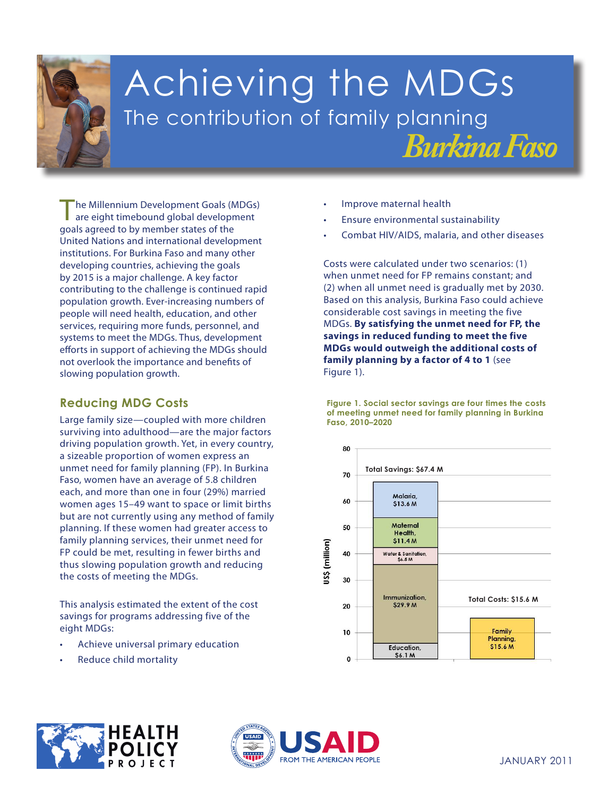

# Achieving the MDGs The contribution of family planning *Burkina Faso*

The Millennium Development Goals (MDGs) are eight timebound global development goals agreed to by member states of the United Nations and international development institutions. For Burkina Faso and many other developing countries, achieving the goals by 2015 is a major challenge. A key factor contributing to the challenge is continued rapid population growth. Ever-increasing numbers of people will need health, education, and other services, requiring more funds, personnel, and systems to meet the MDGs. Thus, development efforts in support of achieving the MDGs should not overlook the importance and benefits of slowing population growth.

## **Reducing MDG Costs**

FP could be met, resulting in fewer births and thus slowing population growth and reducing the costs of meeting the MDGs. Large family size—coupled with more children surviving into adulthood—are the major factors driving population growth. Yet, in every country, a sizeable proportion of women express an unmet need for family planning (FP). In Burkina Faso, women have an average of 5.8 children each, and more than one in four (29%) married women ages 15–49 want to space or limit births but are not currently using any method of family planning. If these women had greater access to family planning services, their unmet need for

**3. Promote gender** This analysis estimated the extent of the cost **women** savings for programs addressing five of the **4. Reduce child mortality** eight MDGs:

- **5. Improve maternal** Achieve universal primary education
- **•** Reduce child mortality
- Improve maternal health
- Ensure environmental sustainability
- Combat HIV/AIDS, malaria, and other diseases

Costs were calculated under two scenarios: (1) when unmet need for FP remains constant; and (2) when all unmet need is gradually met by 2030. Based on this analysis, Burkina Faso could achieve considerable cost savings in meeting the five MDGs. **By satisfying the unmet need for FP, the savings in reduced funding to meet the five MDGs would outweigh the additional costs of family planning by a factor of 4 to 1** (see Figure 1).

**Figure 1. Social sector savings are four times the costs of meeting unmet need for family planning in Burkina Faso, 2010–2020**